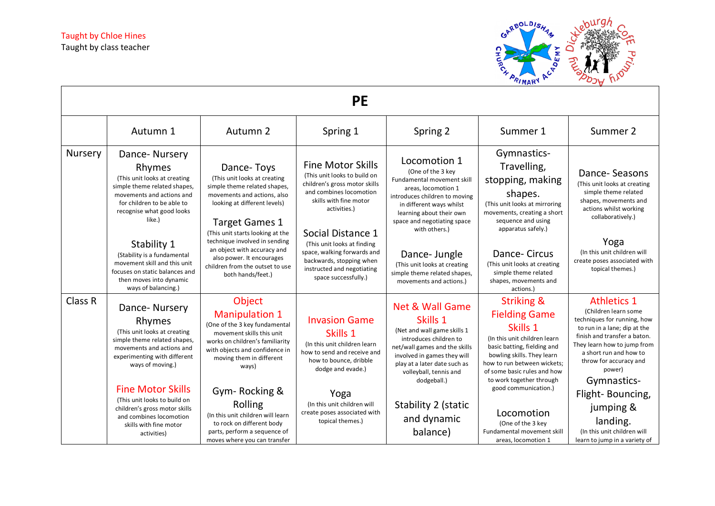

|         |                                                                                                                                                                                                      |                                                                                                                                                                                                                                         | <b>PE</b>                                                                                                                                                                           |                                                                                                                                                                                                                                          |                                                                                                                                                                                                                                                                          |                                                                                                                                                                                                                                                       |
|---------|------------------------------------------------------------------------------------------------------------------------------------------------------------------------------------------------------|-----------------------------------------------------------------------------------------------------------------------------------------------------------------------------------------------------------------------------------------|-------------------------------------------------------------------------------------------------------------------------------------------------------------------------------------|------------------------------------------------------------------------------------------------------------------------------------------------------------------------------------------------------------------------------------------|--------------------------------------------------------------------------------------------------------------------------------------------------------------------------------------------------------------------------------------------------------------------------|-------------------------------------------------------------------------------------------------------------------------------------------------------------------------------------------------------------------------------------------------------|
|         | Autumn 1                                                                                                                                                                                             | Autumn 2                                                                                                                                                                                                                                | Spring 1                                                                                                                                                                            | Spring 2                                                                                                                                                                                                                                 | Summer 1                                                                                                                                                                                                                                                                 | Summer 2                                                                                                                                                                                                                                              |
| Nursery | Dance-Nursery<br>Rhymes<br>(This unit looks at creating<br>simple theme related shapes,<br>movements and actions and<br>for children to be able to<br>recognise what good looks<br>like.)            | Dance-Toys<br>(This unit looks at creating<br>simple theme related shapes,<br>movements and actions, also<br>looking at different levels)<br><b>Target Games 1</b><br>(This unit starts looking at the<br>technique involved in sending | <b>Fine Motor Skills</b><br>(This unit looks to build on<br>children's gross motor skills<br>and combines locomotion<br>skills with fine motor<br>activities.)<br>Social Distance 1 | Locomotion 1<br>(One of the 3 key<br><b>Fundamental movement skill</b><br>areas, locomotion 1<br>introduces children to moving<br>in different ways whilst<br>learning about their own<br>space and negotiating space<br>with others.)   | Gymnastics-<br>Travelling,<br>stopping, making<br>shapes.<br>(This unit looks at mirroring<br>movements, creating a short<br>sequence and using<br>apparatus safely.)                                                                                                    | Dance-Seasons<br>(This unit looks at creating<br>simple theme related<br>shapes, movements and<br>actions whilst working<br>collaboratively.)                                                                                                         |
|         | Stability 1<br>(Stability is a fundamental<br>movement skill and this unit<br>focuses on static balances and<br>then moves into dynamic<br>ways of balancing.)                                       | an object with accuracy and<br>also power. It encourages<br>children from the outset to use<br>both hands/feet.)                                                                                                                        | (This unit looks at finding<br>space, walking forwards and<br>backwards, stopping when<br>instructed and negotiating<br>space successfully.)                                        | Dance- Jungle<br>(This unit looks at creating<br>simple theme related shapes,<br>movements and actions.)                                                                                                                                 | Dance-Circus<br>(This unit looks at creating<br>simple theme related<br>shapes, movements and<br>actions.                                                                                                                                                                | Yoga<br>(In this unit children will<br>create poses associated with<br>topical themes.)                                                                                                                                                               |
| Class R | Dance-Nursery<br>Rhymes<br>(This unit looks at creating<br>simple theme related shapes,<br>movements and actions and<br>experimenting with different<br>ways of moving.)<br><b>Fine Motor Skills</b> | Object<br><b>Manipulation 1</b><br>(One of the 3 key fundamental<br>movement skills this unit<br>works on children's familiarity<br>with objects and confidence in<br>moving them in different<br>ways)                                 | <b>Invasion Game</b><br>Skills 1<br>(In this unit children learn<br>how to send and receive and<br>how to bounce, dribble<br>dodge and evade.)                                      | <b>Net &amp; Wall Game</b><br>Skills 1<br>(Net and wall game skills 1<br>introduces children to<br>net/wall games and the skills<br>involved in games they will<br>play at a later date such as<br>volleyball, tennis and<br>dodgeball.) | <b>Striking &amp;</b><br><b>Fielding Game</b><br>Skills 1<br>(In this unit children learn<br>basic batting, fielding and<br>bowling skills. They learn<br>how to run between wickets;<br>of some basic rules and how<br>to work together through<br>good communication.) | <b>Athletics 1</b><br>(Children learn some<br>techniques for running, how<br>to run in a lane; dip at the<br>finish and transfer a baton.<br>They learn how to jump from<br>a short run and how to<br>throw for accuracy and<br>power)<br>Gymnastics- |
|         | (This unit looks to build on<br>children's gross motor skills<br>and combines locomotion<br>skills with fine motor<br>activities)                                                                    | Gym-Rocking &<br>Rolling<br>(In this unit children will learn<br>to rock on different body<br>parts, perform a sequence of<br>moves where you can transfer                                                                              | Yoga<br>(In this unit children will<br>create poses associated with<br>topical themes.)                                                                                             | Stability 2 (static<br>and dynamic<br>balance)                                                                                                                                                                                           | Locomotion<br>(One of the 3 key<br>Fundamental movement skill<br>areas, locomotion 1                                                                                                                                                                                     | Flight-Bouncing,<br>jumping &<br>landing.<br>(In this unit children will<br>learn to jump in a variety of                                                                                                                                             |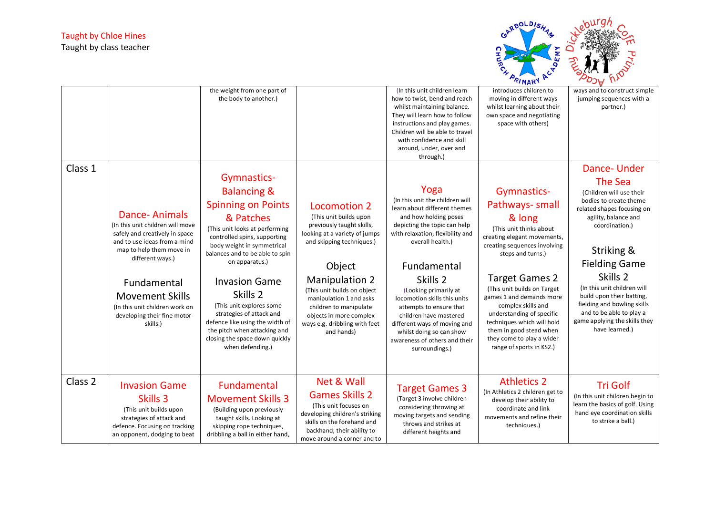

|                    |                                                                                                                                                                                                                                                                                                  |                                                                                                                                                                                                                                                                                                                                                                                                                                                           |                                                                                                                                                                                                                                                                                                                                    |                                                                                                                                                                                                                                                                                                                                                                                                                                                             | $\cdot$ <i>i</i> $\mu$ $\mu$                                                                                                                                                                                                                                                                                                                                                                                     | ╯                                                                                                                                                                                                                                                                                                                                                                        |
|--------------------|--------------------------------------------------------------------------------------------------------------------------------------------------------------------------------------------------------------------------------------------------------------------------------------------------|-----------------------------------------------------------------------------------------------------------------------------------------------------------------------------------------------------------------------------------------------------------------------------------------------------------------------------------------------------------------------------------------------------------------------------------------------------------|------------------------------------------------------------------------------------------------------------------------------------------------------------------------------------------------------------------------------------------------------------------------------------------------------------------------------------|-------------------------------------------------------------------------------------------------------------------------------------------------------------------------------------------------------------------------------------------------------------------------------------------------------------------------------------------------------------------------------------------------------------------------------------------------------------|------------------------------------------------------------------------------------------------------------------------------------------------------------------------------------------------------------------------------------------------------------------------------------------------------------------------------------------------------------------------------------------------------------------|--------------------------------------------------------------------------------------------------------------------------------------------------------------------------------------------------------------------------------------------------------------------------------------------------------------------------------------------------------------------------|
|                    |                                                                                                                                                                                                                                                                                                  | the weight from one part of<br>the body to another.)                                                                                                                                                                                                                                                                                                                                                                                                      |                                                                                                                                                                                                                                                                                                                                    | (In this unit children learn<br>how to twist, bend and reach<br>whilst maintaining balance.<br>They will learn how to follow<br>instructions and play games.<br>Children will be able to travel<br>with confidence and skill<br>around, under, over and<br>through.)                                                                                                                                                                                        | introduces children to<br>moving in different ways<br>whilst learning about their<br>own space and negotiating<br>space with others)                                                                                                                                                                                                                                                                             | ways and to construct simple<br>jumping sequences with a<br>partner.)                                                                                                                                                                                                                                                                                                    |
| Class 1            |                                                                                                                                                                                                                                                                                                  |                                                                                                                                                                                                                                                                                                                                                                                                                                                           |                                                                                                                                                                                                                                                                                                                                    |                                                                                                                                                                                                                                                                                                                                                                                                                                                             |                                                                                                                                                                                                                                                                                                                                                                                                                  | Dance-Under                                                                                                                                                                                                                                                                                                                                                              |
|                    | <b>Dance-Animals</b><br>(In this unit children will move<br>safely and creatively in space<br>and to use ideas from a mind<br>map to help them move in<br>different ways.)<br>Fundamental<br><b>Movement Skills</b><br>(In this unit children work on<br>developing their fine motor<br>skills.) | Gymnastics-<br><b>Balancing &amp;</b><br><b>Spinning on Points</b><br>& Patches<br>(This unit looks at performing<br>controlled spins, supporting<br>body weight in symmetrical<br>balances and to be able to spin<br>on apparatus.)<br><b>Invasion Game</b><br>Skills 2<br>(This unit explores some<br>strategies of attack and<br>defence like using the width of<br>the pitch when attacking and<br>closing the space down quickly<br>when defending.) | Locomotion 2<br>(This unit builds upon<br>previously taught skills,<br>looking at a variety of jumps<br>and skipping techniques.)<br>Object<br><b>Manipulation 2</b><br>(This unit builds on object<br>manipulation 1 and asks<br>children to manipulate<br>objects in more complex<br>ways e.g. dribbling with feet<br>and hands) | Yoga<br>(In this unit the children will<br>learn about different themes<br>and how holding poses<br>depicting the topic can help<br>with relaxation, flexibility and<br>overall health.)<br>Fundamental<br>Skills <sub>2</sub><br>(Looking primarily at<br>locomotion skills this units<br>attempts to ensure that<br>children have mastered<br>different ways of moving and<br>whilst doing so can show<br>awareness of others and their<br>surroundings.) | Gymnastics-<br>Pathways- small<br>& long<br>(This unit thinks about<br>creating elegant movements,<br>creating sequences involving<br>steps and turns.)<br><b>Target Games 2</b><br>(This unit builds on Target<br>games 1 and demands more<br>complex skills and<br>understanding of specific<br>techniques which will hold<br>them in good stead when<br>they come to play a wider<br>range of sports in KS2.) | <b>The Sea</b><br>(Children will use their<br>bodies to create theme<br>related shapes focusing on<br>agility, balance and<br>coordination.)<br>Striking &<br><b>Fielding Game</b><br>Skills 2<br>(In this unit children will<br>build upon their batting,<br>fielding and bowling skills<br>and to be able to play a<br>game applying the skills they<br>have learned.) |
| Class <sub>2</sub> | <b>Invasion Game</b><br>Skills 3<br>(This unit builds upon<br>strategies of attack and<br>defence. Focusing on tracking<br>an opponent, dodging to beat                                                                                                                                          | Fundamental<br><b>Movement Skills 3</b><br>(Building upon previously<br>taught skills. Looking at<br>skipping rope techniques,<br>dribbling a ball in either hand,                                                                                                                                                                                                                                                                                        | Net & Wall<br><b>Games Skills 2</b><br>(This unit focuses on<br>developing children's striking<br>skills on the forehand and<br>backhand; their ability to<br>move around a corner and to                                                                                                                                          | <b>Target Games 3</b><br>(Target 3 involve children<br>considering throwing at<br>moving targets and sending<br>throws and strikes at<br>different heights and                                                                                                                                                                                                                                                                                              | <b>Athletics 2</b><br>(In Athletics 2 children get to<br>develop their ability to<br>coordinate and link<br>movements and refine their<br>techniques.)                                                                                                                                                                                                                                                           | <b>Tri Golf</b><br>(In this unit children begin to<br>learn the basics of golf. Using<br>hand eye coordination skills<br>to strike a ball.)                                                                                                                                                                                                                              |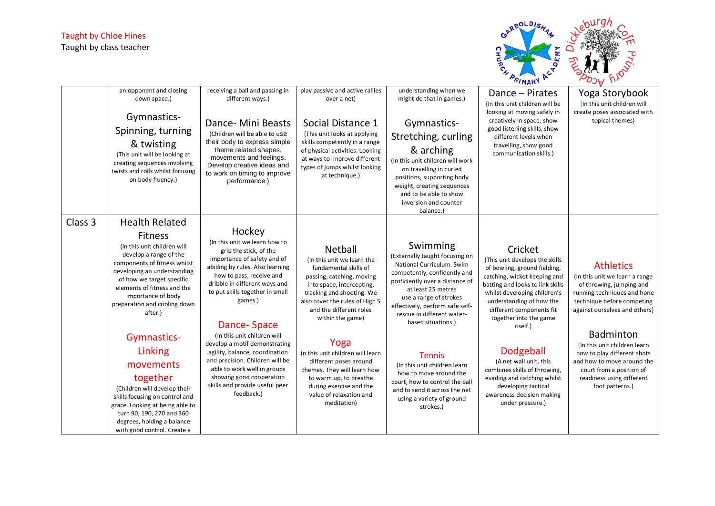

|         | an opponent and closing<br>down space.)<br>Gymnastics-<br>Spinning, turning<br>& twisting<br>(This unit will be looking at<br>creating sequences involving<br>twists and rolls whilst focusing<br>on body fluency.)                                                 | receiving a ball and passing in<br>different ways.)<br>Dance- Mini Beasts<br>(Children will be able to use<br>their body to express simple<br>theme related shapes,<br>movements and feelings.<br>Develop creative ideas and<br>to work on timing to improve<br>performance.) | play passive and active rallies<br>over a net)<br>Social Distance 1<br>(This unit looks at applying<br>skills competently in a range<br>of physical activities. Looking<br>at ways to improve different<br>types of jumps whilst looking<br>at technique.) | understanding when we<br>might do that in games.)<br>Gymnastics-<br>Stretching, curling<br>& arching<br>(In this unit children will work<br>on travelling in curled<br>positions, supporting body<br>weight, creating sequences<br>and to be able to show<br>inversion and counter<br>balance.) | Dance – Pirates<br>(In this unit children will be<br>looking at moving safely in<br>creatively in space, show<br>good listening skills, show<br>different levels when<br>travelling, show good<br>communication skills.)                                                    | Yoga Storybook<br>(In this unit children will<br>create poses associated with<br>topical themes)                                                                             |
|---------|---------------------------------------------------------------------------------------------------------------------------------------------------------------------------------------------------------------------------------------------------------------------|-------------------------------------------------------------------------------------------------------------------------------------------------------------------------------------------------------------------------------------------------------------------------------|------------------------------------------------------------------------------------------------------------------------------------------------------------------------------------------------------------------------------------------------------------|-------------------------------------------------------------------------------------------------------------------------------------------------------------------------------------------------------------------------------------------------------------------------------------------------|-----------------------------------------------------------------------------------------------------------------------------------------------------------------------------------------------------------------------------------------------------------------------------|------------------------------------------------------------------------------------------------------------------------------------------------------------------------------|
| Class 3 | <b>Health Related</b>                                                                                                                                                                                                                                               | Hockey                                                                                                                                                                                                                                                                        |                                                                                                                                                                                                                                                            |                                                                                                                                                                                                                                                                                                 |                                                                                                                                                                                                                                                                             |                                                                                                                                                                              |
|         | <b>Fitness</b><br>(In this unit children will<br>develop a range of the<br>components of fitness whilst<br>developing an understanding<br>of how we target specific<br>elements of fitness and the<br>importance of body<br>preparation and cooling down<br>after.) | (In this unit we learn how to<br>grip the stick, of the<br>importance of safety and of<br>abiding by rules. Also learning<br>how to pass, receive and<br>dribble in different ways and<br>to put skills together in small<br>games.)<br><b>Dance-Space</b>                    | <b>Netball</b><br>(In this unit we learn the<br>fundamental skills of<br>passing, catching, moving<br>into space, intercepting,<br>tracking and shooting. We<br>also cover the rules of High 5<br>and the different roles<br>within the game)              | Swimming<br>(Externally taught focusing on<br>National Curriculum. Swim<br>competently, confidently and<br>proficiently over a distance of<br>at least 25 metres<br>use a range of strokes<br>effectively, perform safe self-<br>rescue in different water-<br>based situations.)               | Cricket<br>(This unit develops the skills<br>of bowling, ground fielding,<br>catching, wicket keeping and<br>batting and looks to link skills<br>whilst developing children's<br>understanding of how the<br>different components fit<br>together into the game<br>itself.) | <b>Athletics</b><br>(In this unit we learn a range<br>of throwing, jumping and<br>running techniques and hone<br>technique before competing<br>against ourselves and others) |
|         | Gymnastics-                                                                                                                                                                                                                                                         | (In this unit children will<br>develop a motif demonstrating                                                                                                                                                                                                                  | Yoga                                                                                                                                                                                                                                                       |                                                                                                                                                                                                                                                                                                 |                                                                                                                                                                                                                                                                             | <b>Badminton</b><br>(In this unit children learn                                                                                                                             |
|         | Linking                                                                                                                                                                                                                                                             | agility, balance, coordination<br>and precision. Children will be                                                                                                                                                                                                             | (n this unit children will learn                                                                                                                                                                                                                           | <b>Tennis</b>                                                                                                                                                                                                                                                                                   | Dodgeball                                                                                                                                                                                                                                                                   | how to play different shots                                                                                                                                                  |
|         | movements                                                                                                                                                                                                                                                           | able to work well in groups                                                                                                                                                                                                                                                   | different poses around<br>themes. They will learn how                                                                                                                                                                                                      | (In this unit children learn<br>how to move around the                                                                                                                                                                                                                                          | (A net wall unit, this<br>combines skills of throwing,                                                                                                                                                                                                                      | and how to move around the<br>court from a position of                                                                                                                       |
|         | together<br>(Children will develop their<br>skills focusing on control and<br>grace. Looking at being able to<br>turn 90, 190, 270 and 360<br>degrees, holding a balance<br>with good control. Create a                                                             | showing good cooperation<br>skills and provide useful peer<br>feedback.)                                                                                                                                                                                                      | to warm up, to breathe<br>during exercise and the<br>value of relaxation and<br>meditation)                                                                                                                                                                | court, how to control the ball<br>and to send it across the net<br>using a variety of ground<br>strokes.)                                                                                                                                                                                       | evading and catching whilst<br>developing tactical<br>awareness decision making<br>under pressure.)                                                                                                                                                                         | readiness using different<br>foot patterns.)                                                                                                                                 |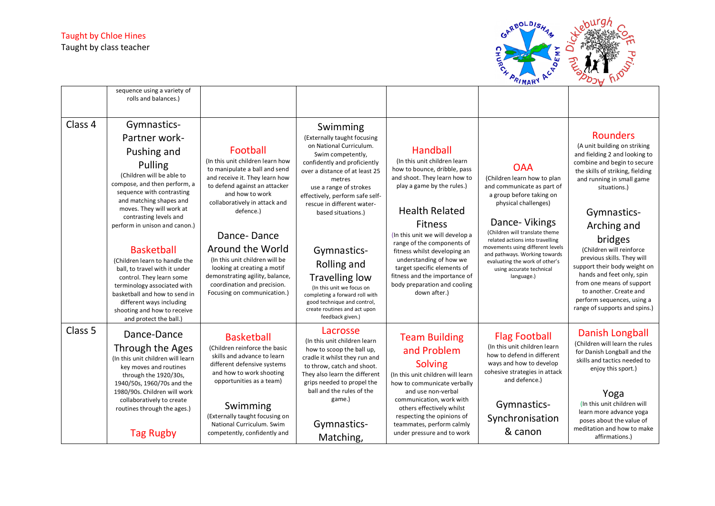

|         | sequence using a variety of<br>rolls and balances.)                                                                                                                                                                                                                                                                                                                                                                                                                                                                                        |                                                                                                                                                                                                                                                                                                                                                                                                                        |                                                                                                                                                                                                                                                                                                                                                                                                                                                                                               |                                                                                                                                                                                                                                                                                                                                                                                                                                      |                                                                                                                                                                                                                                                                                                                                                                    |                                                                                                                                                                                                                                                                                                                                                                                                                                                                                        |
|---------|--------------------------------------------------------------------------------------------------------------------------------------------------------------------------------------------------------------------------------------------------------------------------------------------------------------------------------------------------------------------------------------------------------------------------------------------------------------------------------------------------------------------------------------------|------------------------------------------------------------------------------------------------------------------------------------------------------------------------------------------------------------------------------------------------------------------------------------------------------------------------------------------------------------------------------------------------------------------------|-----------------------------------------------------------------------------------------------------------------------------------------------------------------------------------------------------------------------------------------------------------------------------------------------------------------------------------------------------------------------------------------------------------------------------------------------------------------------------------------------|--------------------------------------------------------------------------------------------------------------------------------------------------------------------------------------------------------------------------------------------------------------------------------------------------------------------------------------------------------------------------------------------------------------------------------------|--------------------------------------------------------------------------------------------------------------------------------------------------------------------------------------------------------------------------------------------------------------------------------------------------------------------------------------------------------------------|----------------------------------------------------------------------------------------------------------------------------------------------------------------------------------------------------------------------------------------------------------------------------------------------------------------------------------------------------------------------------------------------------------------------------------------------------------------------------------------|
| Class 4 | Gymnastics-<br>Partner work-<br>Pushing and<br>Pulling<br>(Children will be able to<br>compose, and then perform, a<br>sequence with contrasting<br>and matching shapes and<br>moves. They will work at<br>contrasting levels and<br>perform in unison and canon.)<br><b>Basketball</b><br>(Children learn to handle the<br>ball, to travel with it under<br>control. They learn some<br>terminology associated with<br>basketball and how to send in<br>different ways including<br>shooting and how to receive<br>and protect the ball.) | Football<br>(In this unit children learn how<br>to manipulate a ball and send<br>and receive it. They learn how<br>to defend against an attacker<br>and how to work<br>collaboratively in attack and<br>defence.)<br>Dance-Dance<br>Around the World<br>(In this unit children will be<br>looking at creating a motif<br>demonstrating agility, balance,<br>coordination and precision.<br>Focusing on communication.) | Swimming<br>(Externally taught focusing<br>on National Curriculum.<br>Swim competently,<br>confidently and proficiently<br>over a distance of at least 25<br>metres<br>use a range of strokes<br>effectively, perform safe self-<br>rescue in different water-<br>based situations.)<br>Gymnastics-<br>Rolling and<br><b>Travelling low</b><br>(In this unit we focus on<br>completing a forward roll with<br>good technique and control,<br>create routines and act upon<br>feedback given.) | <b>Handball</b><br>(In this unit children learn<br>how to bounce, dribble, pass<br>and shoot. They learn how to<br>play a game by the rules.)<br><b>Health Related</b><br><b>Fitness</b><br>(In this unit we will develop a<br>range of the components of<br>fitness whilst developing an<br>understanding of how we<br>target specific elements of<br>fitness and the importance of<br>body preparation and cooling<br>down after.) | <b>OAA</b><br>(Children learn how to plan<br>and communicate as part of<br>a group before taking on<br>physical challenges)<br>Dance-Vikings<br>(Children will translate theme<br>related actions into travelling<br>movements using different levels<br>and pathways. Working towards<br>evaluating the work of other's<br>using accurate technical<br>language.) | <b>Rounders</b><br>(A unit building on striking<br>and fielding 2 and looking to<br>combine and begin to secure<br>the skills of striking, fielding<br>and running in small game<br>situations.)<br>Gymnastics-<br>Arching and<br>bridges<br>(Children will reinforce<br>previous skills. They will<br>support their body weight on<br>hands and feet only, spin<br>from one means of support<br>to another. Create and<br>perform sequences, using a<br>range of supports and spins.) |
| Class 5 | Dance-Dance<br>Through the Ages<br>(In this unit children will learn<br>key moves and routines<br>through the 1920/30s,<br>1940/50s, 1960/70s and the<br>1980/90s. Children will work<br>collaboratively to create<br>routines through the ages.)<br><b>Tag Rugby</b>                                                                                                                                                                                                                                                                      | <b>Basketball</b><br>(Children reinforce the basic<br>skills and advance to learn<br>different defensive systems<br>and how to work shooting<br>opportunities as a team)<br>Swimming<br>(Externally taught focusing on<br>National Curriculum. Swim<br>competently, confidently and                                                                                                                                    | Lacrosse<br>(In this unit children learn<br>how to scoop the ball up,<br>cradle it whilst they run and<br>to throw, catch and shoot.<br>They also learn the different<br>grips needed to propel the<br>ball and the rules of the<br>game.)<br>Gymnastics-<br>Matching,                                                                                                                                                                                                                        | <b>Team Building</b><br>and Problem<br><b>Solving</b><br>(In this unit children will learn<br>how to communicate verbally<br>and use non-verbal<br>communication, work with<br>others effectively whilst<br>respecting the opinions of<br>teammates, perform calmly<br>under pressure and to work                                                                                                                                    | <b>Flag Football</b><br>(In this unit children learn<br>how to defend in different<br>ways and how to develop<br>cohesive strategies in attack<br>and defence.)<br>Gymnastics-<br>Synchronisation<br>& canon                                                                                                                                                       | Danish Longball<br>(Children will learn the rules<br>for Danish Longball and the<br>skills and tactics needed to<br>enjoy this sport.)<br>Yoga<br>(In this unit children will<br>learn more advance yoga<br>poses about the value of<br>meditation and how to make<br>affirmations.)                                                                                                                                                                                                   |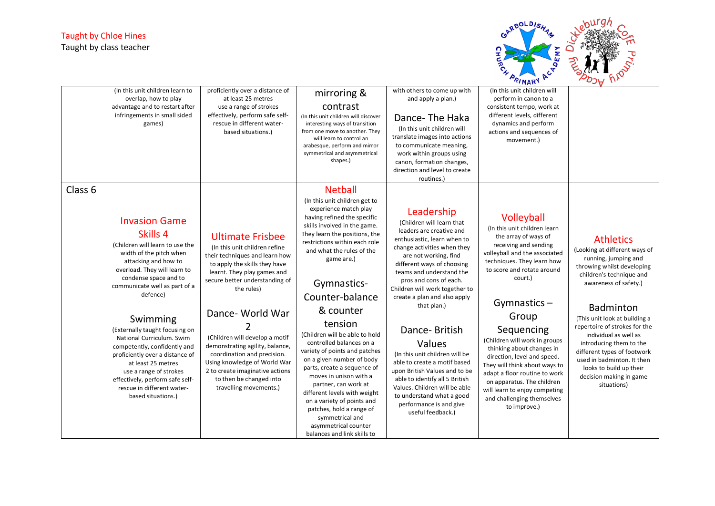

|         | (In this unit children learn to<br>overlap, how to play<br>advantage and to restart after<br>infringements in small sided<br>games)                                                                                                                                                                                                                                                                                                                                                                               | proficiently over a distance of<br>at least 25 metres<br>use a range of strokes<br>effectively, perform safe self-<br>rescue in different water-<br>based situations.)                                                                                                                                                                                                                                                                                     | mirroring &<br>contrast<br>(In this unit children will discover<br>interesting ways of transition<br>from one move to another. They<br>will learn to control an<br>arabesque, perform and mirror<br>symmetrical and asymmetrical<br>shapes.)                                                                                                                                                                                                                                                                                                                                                                                                                                                    | with others to come up with<br>and apply a plan.)<br>Dance-The Haka<br>(In this unit children will<br>translate images into actions<br>to communicate meaning,<br>work within groups using<br>canon, formation changes,<br>direction and level to create<br>routines.)                                                                                                                                                                                                                                                                                                                                        | (In this unit children will<br>perform in canon to a<br>consistent tempo, work at<br>different levels, different<br>dynamics and perform<br>actions and sequences of<br>movement.)                                                                                                                                                                                                                                                                                                                                       |                                                                                                                                                                                                                                                                                                                                                                                                                                          |
|---------|-------------------------------------------------------------------------------------------------------------------------------------------------------------------------------------------------------------------------------------------------------------------------------------------------------------------------------------------------------------------------------------------------------------------------------------------------------------------------------------------------------------------|------------------------------------------------------------------------------------------------------------------------------------------------------------------------------------------------------------------------------------------------------------------------------------------------------------------------------------------------------------------------------------------------------------------------------------------------------------|-------------------------------------------------------------------------------------------------------------------------------------------------------------------------------------------------------------------------------------------------------------------------------------------------------------------------------------------------------------------------------------------------------------------------------------------------------------------------------------------------------------------------------------------------------------------------------------------------------------------------------------------------------------------------------------------------|---------------------------------------------------------------------------------------------------------------------------------------------------------------------------------------------------------------------------------------------------------------------------------------------------------------------------------------------------------------------------------------------------------------------------------------------------------------------------------------------------------------------------------------------------------------------------------------------------------------|--------------------------------------------------------------------------------------------------------------------------------------------------------------------------------------------------------------------------------------------------------------------------------------------------------------------------------------------------------------------------------------------------------------------------------------------------------------------------------------------------------------------------|------------------------------------------------------------------------------------------------------------------------------------------------------------------------------------------------------------------------------------------------------------------------------------------------------------------------------------------------------------------------------------------------------------------------------------------|
| Class 6 | <b>Invasion Game</b><br>Skills 4<br>(Children will learn to use the<br>width of the pitch when<br>attacking and how to<br>overload. They will learn to<br>condense space and to<br>communicate well as part of a<br>defence)<br>Swimming<br>(Externally taught focusing on<br>National Curriculum. Swim<br>competently, confidently and<br>proficiently over a distance of<br>at least 25 metres<br>use a range of strokes<br>effectively, perform safe self-<br>rescue in different water-<br>based situations.) | <b>Ultimate Frisbee</b><br>(In this unit children refine<br>their techniques and learn how<br>to apply the skills they have<br>learnt. They play games and<br>secure better understanding of<br>the rules)<br>Dance- World War<br>(Children will develop a motif<br>demonstrating agility, balance,<br>coordination and precision.<br>Using knowledge of World War<br>2 to create imaginative actions<br>to then be changed into<br>travelling movements.) | <b>Netball</b><br>(In this unit children get to<br>experience match play<br>having refined the specific<br>skills involved in the game.<br>They learn the positions, the<br>restrictions within each role<br>and what the rules of the<br>game are.)<br>Gymnastics-<br>Counter-balance<br>& counter<br>tension<br>(Children will be able to hold<br>controlled balances on a<br>variety of points and patches<br>on a given number of body<br>parts, create a sequence of<br>moves in unison with a<br>partner, can work at<br>different levels with weight<br>on a variety of points and<br>patches, hold a range of<br>symmetrical and<br>asymmetrical counter<br>balances and link skills to | Leadership<br>(Children will learn that<br>leaders are creative and<br>enthusiastic, learn when to<br>change activities when they<br>are not working, find<br>different ways of choosing<br>teams and understand the<br>pros and cons of each.<br>Children will work together to<br>create a plan and also apply<br>that plan.)<br>Dance-British<br>Values<br>(In this unit children will be<br>able to create a motif based<br>upon British Values and to be<br>able to identify all 5 British<br>Values. Children will be able<br>to understand what a good<br>performance is and give<br>useful feedback.) | Volleyball<br>(In this unit children learn<br>the array of ways of<br>receiving and sending<br>volleyball and the associated<br>techniques. They learn how<br>to score and rotate around<br>court.)<br>Gymnastics $-$<br>Group<br>Sequencing<br>(Children will work in groups<br>thinking about changes in<br>direction, level and speed.<br>They will think about ways to<br>adapt a floor routine to work<br>on apparatus. The children<br>will learn to enjoy competing<br>and challenging themselves<br>to improve.) | <b>Athletics</b><br>(Looking at different ways of<br>running, jumping and<br>throwing whilst developing<br>children's technique and<br>awareness of safety.)<br><b>Badminton</b><br>(This unit look at building a<br>repertoire of strokes for the<br>individual as well as<br>introducing them to the<br>different types of footwork<br>used in badminton. It then<br>looks to build up their<br>decision making in game<br>situations) |